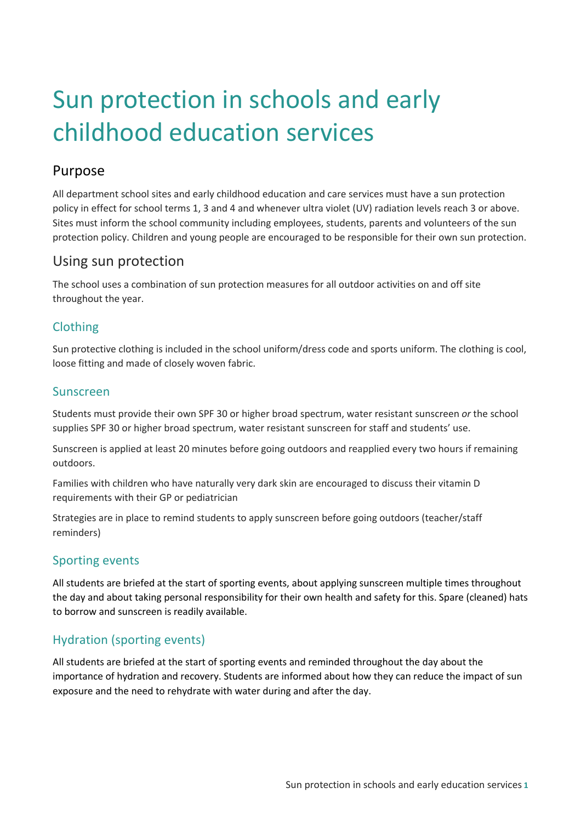# Sun protection in schools and early childhood education services

# Purpose

All department school sites and early childhood education and care services must have a sun protection policy in effect for school terms 1, 3 and 4 and whenever ultra violet (UV) radiation levels reach 3 or above. Sites must inform the school community including employees, students, parents and volunteers of the sun protection policy. Children and young people are encouraged to be responsible for their own sun protection.

# Using sun protection

The school uses a combination of sun protection measures for all outdoor activities on and off site throughout the year.

#### Clothing

Sun protective clothing is included in the school uniform/dress code and sports uniform. The clothing is cool, loose fitting and made of closely woven fabric.

#### Sunscreen

Students must provide their own SPF 30 or higher broad spectrum, water resistant sunscreen *or* the school supplies SPF 30 or higher broad spectrum, water resistant sunscreen for staff and students' use.

Sunscreen is applied at least 20 minutes before going outdoors and reapplied every two hours if remaining outdoors.

Families with children who have naturally very dark skin are encouraged to discuss their vitamin D requirements with their GP or pediatrician

Strategies are in place to remind students to apply sunscreen before going outdoors (teacher/staff reminders)

## Sporting events

All students are briefed at the start of sporting events, about applying sunscreen multiple times throughout the day and about taking personal responsibility for their own health and safety for this. Spare (cleaned) hats to borrow and sunscreen is readily available.

## Hydration (sporting events)

All students are briefed at the start of sporting events and reminded throughout the day about the importance of hydration and recovery. Students are informed about how they can reduce the impact of sun exposure and the need to rehydrate with water during and after the day.